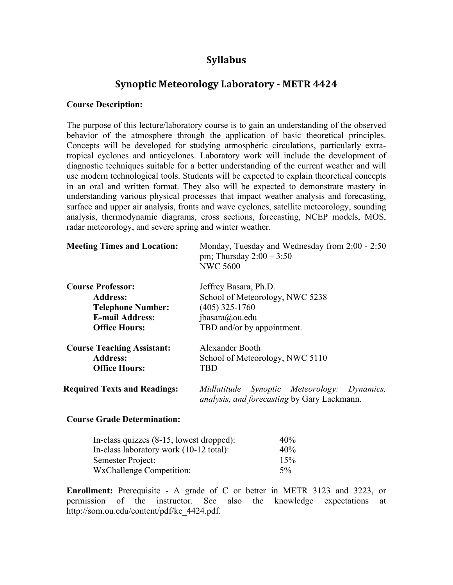# **Syllabus**

# **Synoptic Meteorology Laboratory - METR 4424**

## **Course Description:**

The purpose of this lecture/laboratory course is to gain an understanding of the observed behavior of the atmosphere through the application of basic theoretical principles. Concepts will be developed for studying atmospheric circulations, particularly extratropical cyclones and anticyclones. Laboratory work will include the development of diagnostic techniques suitable for a better understanding of the current weather and will use modern technological tools. Students will be expected to explain theoretical concepts in an oral and written format. They also will be expected to demonstrate mastery in understanding various physical processes that impact weather analysis and forecasting, surface and upper air analysis, fronts and wave cyclones, satellite meteorology, sounding analysis, thermodynamic diagrams, cross sections, forecasting, NCEP models, MOS, radar meteorology, and severe spring and winter weather.

| <b>Meeting Times and Location:</b>  | Monday, Tuesday and Wednesday from 2:00 - 2:50<br>pm; Thursday $2:00 - 3:50$<br><b>NWC 5600</b>   |  |  |
|-------------------------------------|---------------------------------------------------------------------------------------------------|--|--|
| <b>Course Professor:</b>            | Jeffrey Basara, Ph.D.                                                                             |  |  |
| <b>Address:</b>                     | School of Meteorology, NWC 5238                                                                   |  |  |
| <b>Telephone Number:</b>            | $(405)$ 325-1760                                                                                  |  |  |
| <b>E-mail Address:</b>              | jbasara@ou.edu                                                                                    |  |  |
| <b>Office Hours:</b>                | TBD and/or by appointment.                                                                        |  |  |
| <b>Course Teaching Assistant:</b>   | Alexander Booth                                                                                   |  |  |
| <b>Address:</b>                     | School of Meteorology, NWC 5110                                                                   |  |  |
| <b>Office Hours:</b>                | TBD                                                                                               |  |  |
| <b>Required Texts and Readings:</b> | Midlatitude Synoptic Meteorology: Dynamics,<br><i>analysis, and forecasting by Gary Lackmann.</i> |  |  |

## **Course Grade Determination:**

| In-class quizzes $(8-15,$ lowest dropped): | 40%   |
|--------------------------------------------|-------|
| In-class laboratory work (10-12 total):    | 40%   |
| Semester Project:                          | 15%   |
| <b>WxChallenge Competition:</b>            | $5\%$ |

**Enrollment:** Prerequisite - A grade of C or better in METR 3123 and 3223, or permission of the instructor. See also the knowledge expectations at http://som.ou.edu/content/pdf/ke\_4424.pdf.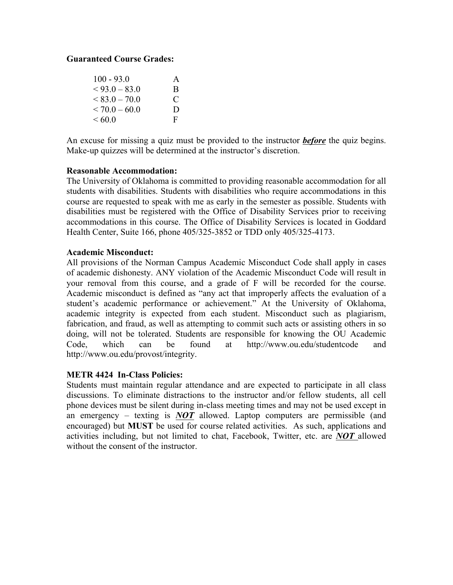# **Guaranteed Course Grades:**

| $100 - 93.0$    | A |
|-----------------|---|
| $< 93.0 - 83.0$ | B |
| $< 83.0 - 70.0$ | € |
| $< 70.0 - 60.0$ | D |
| <60.0           | F |

An excuse for missing a quiz must be provided to the instructor *before* the quiz begins. Make-up quizzes will be determined at the instructor's discretion.

## **Reasonable Accommodation:**

The University of Oklahoma is committed to providing reasonable accommodation for all students with disabilities. Students with disabilities who require accommodations in this course are requested to speak with me as early in the semester as possible. Students with disabilities must be registered with the Office of Disability Services prior to receiving accommodations in this course. The Office of Disability Services is located in Goddard Health Center, Suite 166, phone 405/325-3852 or TDD only 405/325-4173.

## **Academic Misconduct:**

All provisions of the Norman Campus Academic Misconduct Code shall apply in cases of academic dishonesty. ANY violation of the Academic Misconduct Code will result in your removal from this course, and a grade of F will be recorded for the course. Academic misconduct is defined as "any act that improperly affects the evaluation of a student's academic performance or achievement." At the University of Oklahoma, academic integrity is expected from each student. Misconduct such as plagiarism, fabrication, and fraud, as well as attempting to commit such acts or assisting others in so doing, will not be tolerated. Students are responsible for knowing the OU Academic Code, which can be found at http://www.ou.edu/studentcode and http://www.ou.edu/provost/integrity.

## **METR 4424 In-Class Policies:**

Students must maintain regular attendance and are expected to participate in all class discussions. To eliminate distractions to the instructor and/or fellow students, all cell phone devices must be silent during in-class meeting times and may not be used except in an emergency – texting is *NOT* allowed. Laptop computers are permissible (and encouraged) but **MUST** be used for course related activities. As such, applications and activities including, but not limited to chat, Facebook, Twitter, etc. are *NOT* allowed without the consent of the instructor.